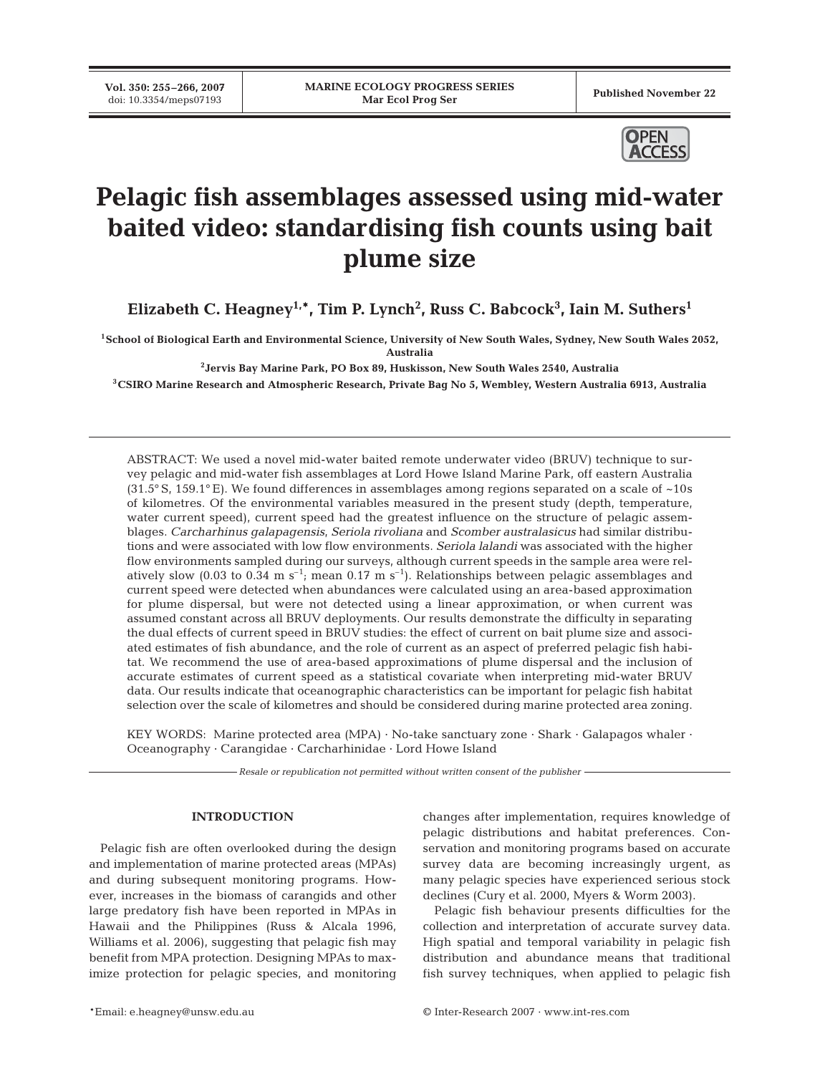**Vol. 350: 255–266, 2007**



# **Pelagic fish assemblages assessed using mid-water baited video: standardising fish counts using bait plume size**

**Elizabeth C. Heagney1,\*, Tim P. Lynch2 , Russ C. Babcock3 , Iain M. Suthers1**

**1School of Biological Earth and Environmental Science, University of New South Wales, Sydney, New South Wales 2052, Australia**

**2Jervis Bay Marine Park, PO Box 89, Huskisson, New South Wales 2540, Australia**

**3CSIRO Marine Research and Atmospheric Research, Private Bag No 5, Wembley, Western Australia 6913, Australia**

ABSTRACT: We used a novel mid-water baited remote underwater video (BRUV) technique to survey pelagic and mid-water fish assemblages at Lord Howe Island Marine Park, off eastern Australia (31.5° S, 159.1° E). We found differences in assemblages among regions separated on a scale of  $\sim$ 10s of kilometres. Of the environmental variables measured in the present study (depth, temperature, water current speed), current speed had the greatest influence on the structure of pelagic assemblages. *Carcharhinus galapagensis*, *Seriola rivoliana* and *Scomber australasicus* had similar distributions and were associated with low flow environments. *Seriola lalandi* was associated with the higher flow environments sampled during our surveys, although current speeds in the sample area were relatively slow (0.03 to 0.34 m  $s^{-1}$ ; mean 0.17 m  $s^{-1}$ ). Relationships between pelagic assemblages and current speed were detected when abundances were calculated using an area-based approximation for plume dispersal, but were not detected using a linear approximation, or when current was assumed constant across all BRUV deployments. Our results demonstrate the difficulty in separating the dual effects of current speed in BRUV studies: the effect of current on bait plume size and associated estimates of fish abundance, and the role of current as an aspect of preferred pelagic fish habitat. We recommend the use of area-based approximations of plume dispersal and the inclusion of accurate estimates of current speed as a statistical covariate when interpreting mid-water BRUV data. Our results indicate that oceanographic characteristics can be important for pelagic fish habitat selection over the scale of kilometres and should be considered during marine protected area zoning.

KEY WORDS: Marine protected area (MPA)  $\cdot$  No-take sanctuary zone  $\cdot$  Shark  $\cdot$  Galapagos whaler  $\cdot$ Oceanography · Carangidae · Carcharhinidae · Lord Howe Island

*Resale or republication not permitted without written consent of the publisher*

#### **INTRODUCTION**

Pelagic fish are often overlooked during the design and implementation of marine protected areas (MPAs) and during subsequent monitoring programs. However, increases in the biomass of carangids and other large predatory fish have been reported in MPAs in Hawaii and the Philippines (Russ & Alcala 1996, Williams et al. 2006), suggesting that pelagic fish may benefit from MPA protection. Designing MPAs to maximize protection for pelagic species, and monitoring

changes after implementation, requires knowledge of pelagic distributions and habitat preferences. Conservation and monitoring programs based on accurate survey data are becoming increasingly urgent, as many pelagic species have experienced serious stock declines (Cury et al. 2000, Myers & Worm 2003).

Pelagic fish behaviour presents difficulties for the collection and interpretation of accurate survey data. High spatial and temporal variability in pelagic fish distribution and abundance means that traditional fish survey techniques, when applied to pelagic fish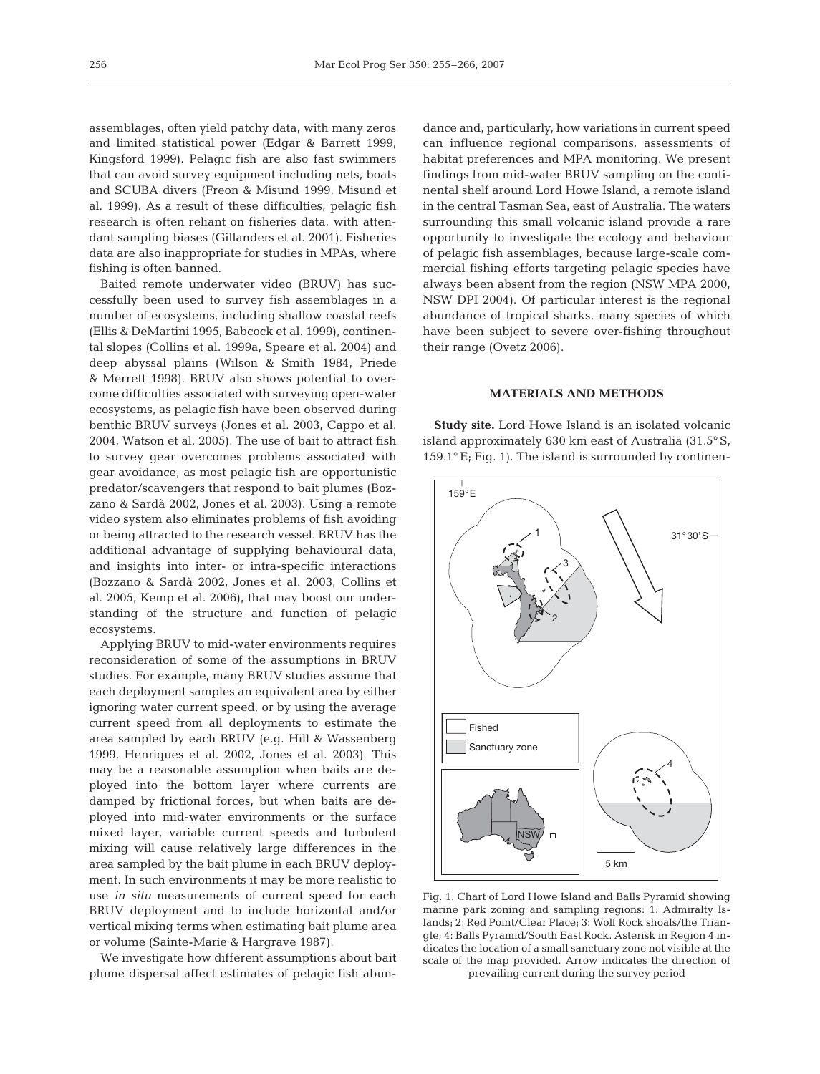assemblages, often yield patchy data, with many zeros and limited statistical power (Edgar & Barrett 1999, Kingsford 1999). Pelagic fish are also fast swimmers that can avoid survey equipment including nets, boats and SCUBA divers (Freon & Misund 1999, Misund et al. 1999). As a result of these difficulties, pelagic fish research is often reliant on fisheries data, with attendant sampling biases (Gillanders et al. 2001). Fisheries data are also inappropriate for studies in MPAs, where fishing is often banned.

Baited remote underwater video (BRUV) has successfully been used to survey fish assemblages in a number of ecosystems, including shallow coastal reefs (Ellis & DeMartini 1995, Babcock et al. 1999), continental slopes (Collins et al. 1999a, Speare et al. 2004) and deep abyssal plains (Wilson & Smith 1984, Priede & Merrett 1998). BRUV also shows potential to overcome difficulties associated with surveying open-water ecosystems, as pelagic fish have been observed during benthic BRUV surveys (Jones et al. 2003, Cappo et al. 2004, Watson et al. 2005). The use of bait to attract fish to survey gear overcomes problems associated with gear avoidance, as most pelagic fish are opportunistic predator/scavengers that respond to bait plumes (Bozzano & Sardà 2002, Jones et al. 2003). Using a remote video system also eliminates problems of fish avoiding or being attracted to the research vessel. BRUV has the additional advantage of supplying behavioural data, and insights into inter- or intra-specific interactions (Bozzano & Sardà 2002, Jones et al. 2003, Collins et al. 2005, Kemp et al. 2006), that may boost our understanding of the structure and function of pelagic ecosystems.

Applying BRUV to mid-water environments requires reconsideration of some of the assumptions in BRUV studies. For example, many BRUV studies assume that each deployment samples an equivalent area by either ignoring water current speed, or by using the average current speed from all deployments to estimate the area sampled by each BRUV (e.g. Hill & Wassenberg 1999, Henriques et al. 2002, Jones et al. 2003). This may be a reasonable assumption when baits are deployed into the bottom layer where currents are damped by frictional forces, but when baits are deployed into mid-water environments or the surface mixed layer, variable current speeds and turbulent mixing will cause relatively large differences in the area sampled by the bait plume in each BRUV deployment. In such environments it may be more realistic to use *in situ* measurements of current speed for each BRUV deployment and to include horizontal and/or vertical mixing terms when estimating bait plume area or volume (Sainte-Marie & Hargrave 1987).

We investigate how different assumptions about bait plume dispersal affect estimates of pelagic fish abundance and, particularly, how variations in current speed can influence regional comparisons, assessments of habitat preferences and MPA monitoring. We present findings from mid-water BRUV sampling on the continental shelf around Lord Howe Island, a remote island in the central Tasman Sea, east of Australia. The waters surrounding this small volcanic island provide a rare opportunity to investigate the ecology and behaviour of pelagic fish assemblages, because large-scale commercial fishing efforts targeting pelagic species have always been absent from the region (NSW MPA 2000, NSW DPI 2004). Of particular interest is the regional abundance of tropical sharks, many species of which have been subject to severe over-fishing throughout their range (Ovetz 2006).

## **MATERIALS AND METHODS**

**Study site.** Lord Howe Island is an isolated volcanic island approximately 630 km east of Australia (31.5° S,  $159.1^\circ$  E; Fig. 1). The island is surrounded by continen-



Fig. 1. Chart of Lord Howe Island and Balls Pyramid showing marine park zoning and sampling regions: 1: Admiralty Islands; 2: Red Point/Clear Place; 3: Wolf Rock shoals/the Triangle; 4: Balls Pyramid/South East Rock. Asterisk in Region 4 indicates the location of a small sanctuary zone not visible at the scale of the map provided. Arrow indicates the direction of prevailing current during the survey period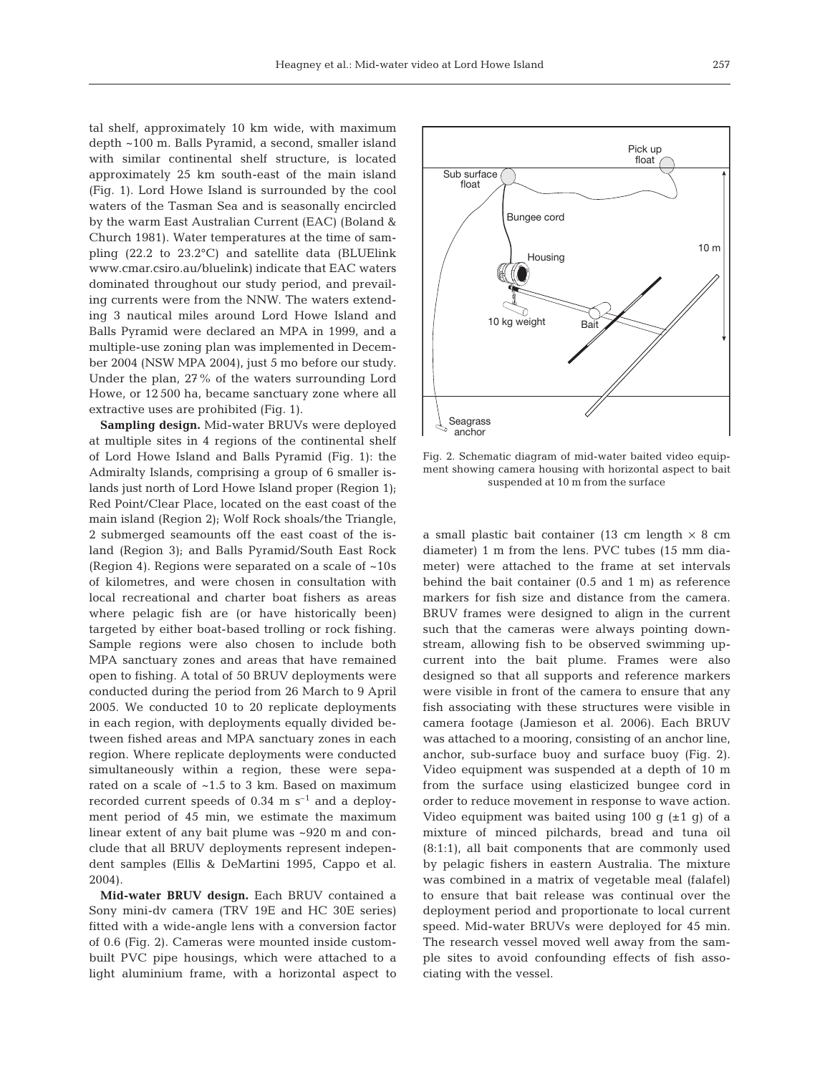tal shelf, approximately 10 km wide, with maximum depth ~100 m. Balls Pyramid, a second, smaller island with similar continental shelf structure, is located approximately 25 km south-east of the main island (Fig. 1). Lord Howe Island is surrounded by the cool waters of the Tasman Sea and is seasonally encircled by the warm East Australian Current (EAC) (Boland & Church 1981). Water temperatures at the time of sampling (22.2 to 23.2°C) and satellite data (BLUElink www.cmar.csiro.au/bluelink) indicate that EAC waters dominated throughout our study period, and prevailing currents were from the NNW. The waters extending 3 nautical miles around Lord Howe Island and Balls Pyramid were declared an MPA in 1999, and a multiple-use zoning plan was implemented in December 2004 (NSW MPA 2004), just 5 mo before our study. Under the plan, 27% of the waters surrounding Lord Howe, or 12 500 ha, became sanctuary zone where all extractive uses are prohibited (Fig. 1).

**Sampling design.** Mid-water BRUVs were deployed at multiple sites in 4 regions of the continental shelf of Lord Howe Island and Balls Pyramid (Fig. 1): the Admiralty Islands, comprising a group of 6 smaller islands just north of Lord Howe Island proper (Region 1); Red Point/Clear Place, located on the east coast of the main island (Region 2); Wolf Rock shoals/the Triangle, 2 submerged seamounts off the east coast of the island (Region 3); and Balls Pyramid/South East Rock (Region 4). Regions were separated on a scale of ~10s of kilometres, and were chosen in consultation with local recreational and charter boat fishers as areas where pelagic fish are (or have historically been) targeted by either boat-based trolling or rock fishing. Sample regions were also chosen to include both MPA sanctuary zones and areas that have remained open to fishing. A total of 50 BRUV deployments were conducted during the period from 26 March to 9 April 2005. We conducted 10 to 20 replicate deployments in each region, with deployments equally divided between fished areas and MPA sanctuary zones in each region. Where replicate deployments were conducted simultaneously within a region, these were separated on a scale of ~1.5 to 3 km. Based on maximum recorded current speeds of  $0.34 \text{ m s}^{-1}$  and a deployment period of 45 min, we estimate the maximum linear extent of any bait plume was ~920 m and conclude that all BRUV deployments represent independent samples (Ellis & DeMartini 1995, Cappo et al. 2004).

**Mid-water BRUV design.** Each BRUV contained a Sony mini-dv camera (TRV 19E and HC 30E series) fitted with a wide-angle lens with a conversion factor of 0.6 (Fig. 2). Cameras were mounted inside custombuilt PVC pipe housings, which were attached to a light aluminium frame, with a horizontal aspect to



Fig. 2. Schematic diagram of mid-water baited video equipment showing camera housing with horizontal aspect to bait suspended at 10 m from the surface

a small plastic bait container (13 cm length  $\times$  8 cm diameter) 1 m from the lens. PVC tubes (15 mm diameter) were attached to the frame at set intervals behind the bait container (0.5 and 1 m) as reference markers for fish size and distance from the camera. BRUV frames were designed to align in the current such that the cameras were always pointing downstream, allowing fish to be observed swimming upcurrent into the bait plume. Frames were also designed so that all supports and reference markers were visible in front of the camera to ensure that any fish associating with these structures were visible in camera footage (Jamieson et al. 2006). Each BRUV was attached to a mooring, consisting of an anchor line, anchor, sub-surface buoy and surface buoy (Fig. 2). Video equipment was suspended at a depth of 10 m from the surface using elasticized bungee cord in order to reduce movement in response to wave action. Video equipment was baited using 100 g  $(\pm 1 \text{ q})$  of a mixture of minced pilchards, bread and tuna oil (8:1:1), all bait components that are commonly used by pelagic fishers in eastern Australia. The mixture was combined in a matrix of vegetable meal (falafel) to ensure that bait release was continual over the deployment period and proportionate to local current speed. Mid-water BRUVs were deployed for 45 min. The research vessel moved well away from the sample sites to avoid confounding effects of fish associating with the vessel.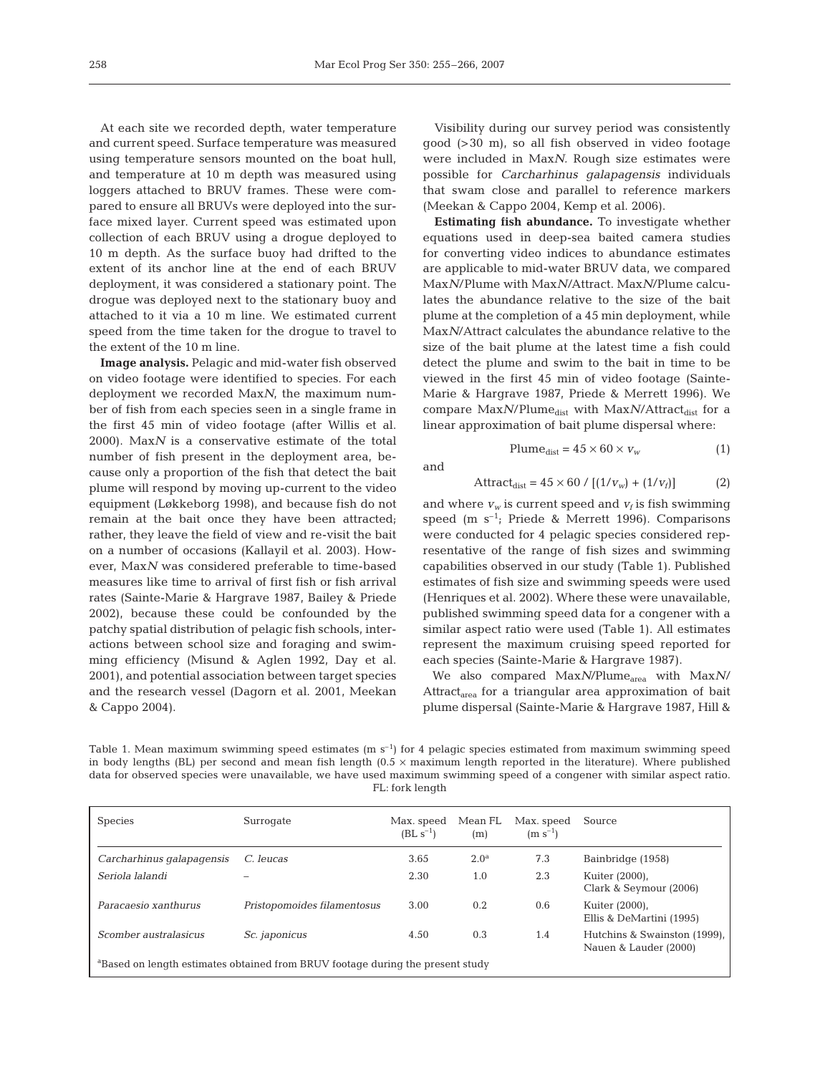At each site we recorded depth, water temperature and current speed. Surface temperature was measured using temperature sensors mounted on the boat hull, and temperature at 10 m depth was measured using loggers attached to BRUV frames. These were compared to ensure all BRUVs were deployed into the surface mixed layer. Current speed was estimated upon collection of each BRUV using a drogue deployed to 10 m depth. As the surface buoy had drifted to the extent of its anchor line at the end of each BRUV deployment, it was considered a stationary point. The drogue was deployed next to the stationary buoy and attached to it via a 10 m line. We estimated current speed from the time taken for the drogue to travel to the extent of the 10 m line.

**Image analysis.** Pelagic and mid-water fish observed on video footage were identified to species. For each deployment we recorded Max*N*, the maximum number of fish from each species seen in a single frame in the first 45 min of video footage (after Willis et al. 2000). Max*N* is a conservative estimate of the total number of fish present in the deployment area, because only a proportion of the fish that detect the bait plume will respond by moving up-current to the video equipment (Løkkeborg 1998), and because fish do not remain at the bait once they have been attracted; rather, they leave the field of view and re-visit the bait on a number of occasions (Kallayil et al. 2003). However, Max*N* was considered preferable to time-based measures like time to arrival of first fish or fish arrival rates (Sainte-Marie & Hargrave 1987, Bailey & Priede 2002), because these could be confounded by the patchy spatial distribution of pelagic fish schools, interactions between school size and foraging and swimming efficiency (Misund & Aglen 1992, Day et al. 2001), and potential association between target species and the research vessel (Dagorn et al. 2001, Meekan & Cappo 2004).

Visibility during our survey period was consistently good (>30 m), so all fish observed in video footage were included in Max*N.* Rough size estimates were possible for *Carcharhinus galapagensis* individuals that swam close and parallel to reference markers (Meekan & Cappo 2004, Kemp et al. 2006).

**Estimating fish abundance.** To investigate whether equations used in deep-sea baited camera studies for converting video indices to abundance estimates are applicable to mid-water BRUV data, we compared Max*N*/Plume with Max*N*/Attract. Max*N*/Plume calculates the abundance relative to the size of the bait plume at the completion of a 45 min deployment, while Max*N*/Attract calculates the abundance relative to the size of the bait plume at the latest time a fish could detect the plume and swim to the bait in time to be viewed in the first 45 min of video footage (Sainte-Marie & Hargrave 1987, Priede & Merrett 1996). We compare Max $N$ /Plume<sub>dist</sub> with Max $N$ /Attract<sub>dist</sub> for a linear approximation of bait plume dispersal where:

and

$$
Attract_{dist} = 45 \times 60 / [(1/v_w) + (1/v_f)]
$$
 (2)

Plume<sub>dist</sub> =  $45 \times 60 \times v_w$  (1)

and where  $v_w$  is current speed and  $v_f$  is fish swimming speed (m  $s^{-1}$ ; Priede & Merrett 1996). Comparisons were conducted for 4 pelagic species considered representative of the range of fish sizes and swimming capabilities observed in our study (Table 1). Published estimates of fish size and swimming speeds were used (Henriques et al. 2002). Where these were unavailable, published swimming speed data for a congener with a similar aspect ratio were used (Table 1). All estimates represent the maximum cruising speed reported for each species (Sainte-Marie & Hargrave 1987).

We also compared Max*N*/Plume<sub>area</sub> with Max*N*/ Attract<sub>area</sub> for a triangular area approximation of bait plume dispersal (Sainte-Marie & Hargrave 1987, Hill &

Table 1. Mean maximum swimming speed estimates  $(m s<sup>-1</sup>)$  for 4 pelagic species estimated from maximum swimming speed in body lengths (BL) per second and mean fish length  $(0.5 \times$  maximum length reported in the literature). Where published data for observed species were unavailable, we have used maximum swimming speed of a congener with similar aspect ratio. FL: fork length

| <b>Species</b>                                                                             | Surrogate                   | Max. speed<br>$(BL s^{-1})$ | Mean FL<br>(m)   | Max. speed<br>$(m s^{-1})$ | Source                                                |  |
|--------------------------------------------------------------------------------------------|-----------------------------|-----------------------------|------------------|----------------------------|-------------------------------------------------------|--|
| Carcharhinus galapagensis                                                                  | C. leucas                   | 3.65                        | 2.0 <sup>a</sup> | 7.3                        | Bainbridge (1958)                                     |  |
| Seriola lalandi                                                                            |                             | 2.30                        | 1.0              | 2.3                        | Kuiter (2000),<br>Clark & Seymour (2006)              |  |
| Paracaesio xanthurus                                                                       | Pristopomoides filamentosus | 3.00                        | 0.2              | 0.6                        | Kuiter (2000),<br>Ellis & DeMartini (1995)            |  |
| Scomber australasicus                                                                      | Sc. japonicus               | 4.50                        | 0.3              | 1.4                        | Hutchins & Swainston (1999),<br>Nauen & Lauder (2000) |  |
| <sup>a</sup> Based on length estimates obtained from BRUV footage during the present study |                             |                             |                  |                            |                                                       |  |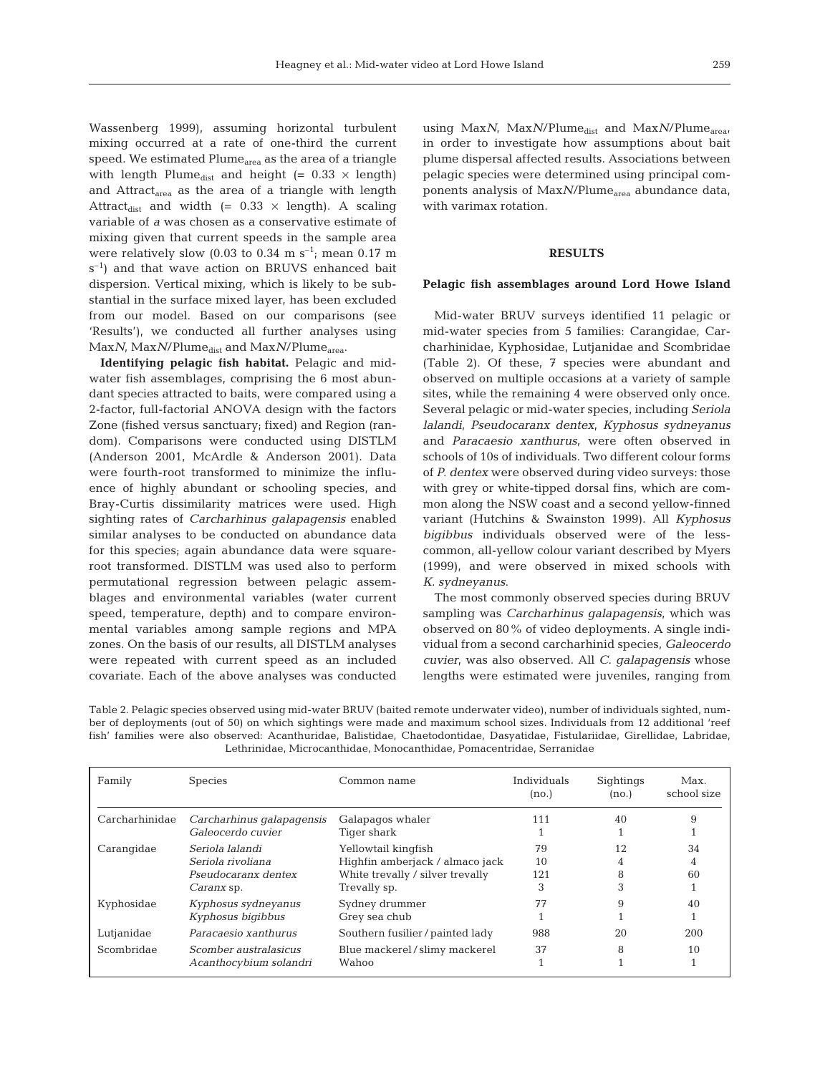Wassenberg 1999), assuming horizontal turbulent mixing occurred at a rate of one-third the current speed. We estimated Plume<sub>area</sub> as the area of a triangle with length Plume<sub>dist</sub> and height (=  $0.33 \times$  length) and Attract<sub>area</sub> as the area of a triangle with length Attract<sub>dist</sub> and width (=  $0.33 \times$  length). A scaling variable of *a* was chosen as a conservative estimate of mixing given that current speeds in the sample area were relatively slow (0.03 to 0.34 m  $s^{-1}$ ; mean 0.17 m  $s^{-1}$ ) and that wave action on BRUVS enhanced bait dispersion. Vertical mixing, which is likely to be substantial in the surface mixed layer, has been excluded from our model. Based on our comparisons (see 'Results'), we conducted all further analyses using Max*N*, Max*N*/Plume<sub>dist</sub> and Max*N*/Plume<sub>area</sub>.

**Identifying pelagic fish habitat.** Pelagic and midwater fish assemblages, comprising the 6 most abundant species attracted to baits, were compared using a 2-factor, full-factorial ANOVA design with the factors Zone (fished versus sanctuary; fixed) and Region (random). Comparisons were conducted using DISTLM (Anderson 2001, McArdle & Anderson 2001). Data were fourth-root transformed to minimize the influence of highly abundant or schooling species, and Bray-Curtis dissimilarity matrices were used. High sighting rates of *Carcharhinus galapagensis* enabled similar analyses to be conducted on abundance data for this species; again abundance data were squareroot transformed. DISTLM was used also to perform permutational regression between pelagic assemblages and environmental variables (water current speed, temperature, depth) and to compare environmental variables among sample regions and MPA zones. On the basis of our results, all DISTLM analyses were repeated with current speed as an included covariate. Each of the above analyses was conducted

using Max*N*, Max*N*/Plume<sub>dist</sub> and Max*N*/Plume<sub>area</sub>, in order to investigate how assumptions about bait plume dispersal affected results. Associations between pelagic species were determined using principal components analysis of MaxN/Plume<sub>area</sub> abundance data, with varimax rotation.

### **RESULTS**

#### **Pelagic fish assemblages around Lord Howe Island**

Mid-water BRUV surveys identified 11 pelagic or mid-water species from 5 families: Carangidae, Carcharhinidae, Kyphosidae, Lutjanidae and Scombridae (Table 2). Of these, 7 species were abundant and observed on multiple occasions at a variety of sample sites, while the remaining 4 were observed only once. Several pelagic or mid-water species, including *Seriola lalandi*, *Pseudocaranx dentex*, *Kyphosus sydneyanus* and *Paracaesio xanthurus*, were often observed in schools of 10s of individuals. Two different colour forms of *P. dentex* were observed during video surveys: those with grey or white-tipped dorsal fins, which are common along the NSW coast and a second yellow-finned variant (Hutchins & Swainston 1999). All *Kyphosus bigibbus* individuals observed were of the lesscommon, all-yellow colour variant described by Myers (1999), and were observed in mixed schools with *K. sydneyanus*.

The most commonly observed species during BRUV sampling was *Carcharhinus galapagensis*, which was observed on 80% of video deployments. A single individual from a second carcharhinid species, *Galeocerdo cuvier*, was also observed. All *C. galapagensis* whose lengths were estimated were juveniles, ranging from

Table 2. Pelagic species observed using mid-water BRUV (baited remote underwater video), number of individuals sighted, number of deployments (out of 50) on which sightings were made and maximum school sizes. Individuals from 12 additional 'reef fish' families were also observed: Acanthuridae, Balistidae, Chaetodontidae, Dasyatidae, Fistulariidae, Girellidae, Labridae, Lethrinidae, Microcanthidae, Monocanthidae, Pomacentridae, Serranidae

| Family         | <b>Species</b>                                                                   | Common name                                                                                                | Individuals<br>(no.) | Sightings<br>(no.) | Max.<br>school size |
|----------------|----------------------------------------------------------------------------------|------------------------------------------------------------------------------------------------------------|----------------------|--------------------|---------------------|
| Carcharhinidae | Carcharhinus galapagensis<br>Galeocerdo cuvier                                   | Galapagos whaler<br>Tiger shark                                                                            | 111                  | 40                 | 9                   |
| Carangidae     | Seriola lalandi<br>Seriola rivoliana<br>Pseudocaranx dentex<br><i>Caranx</i> sp. | Yellowtail kingfish<br>Highfin amberjack / almaco jack<br>White trevally / silver trevally<br>Trevally sp. | 79<br>10<br>121<br>3 | 12<br>8<br>3       | 34<br>4<br>60       |
| Kyphosidae     | Kyphosus sydneyanus<br>Kyphosus bigibbus                                         | Sydney drummer<br>Grey sea chub                                                                            | 77                   | 9                  | 40                  |
| Lutjanidae     | Paracaesio xanthurus                                                             | Southern fusilier/painted lady                                                                             | 988                  | 20                 | 200                 |
| Scombridae     | Scomber australasicus<br>Acanthocybium solandri                                  | Blue mackerel/slimy mackerel<br>Wahoo                                                                      | 37                   | 8                  | 10                  |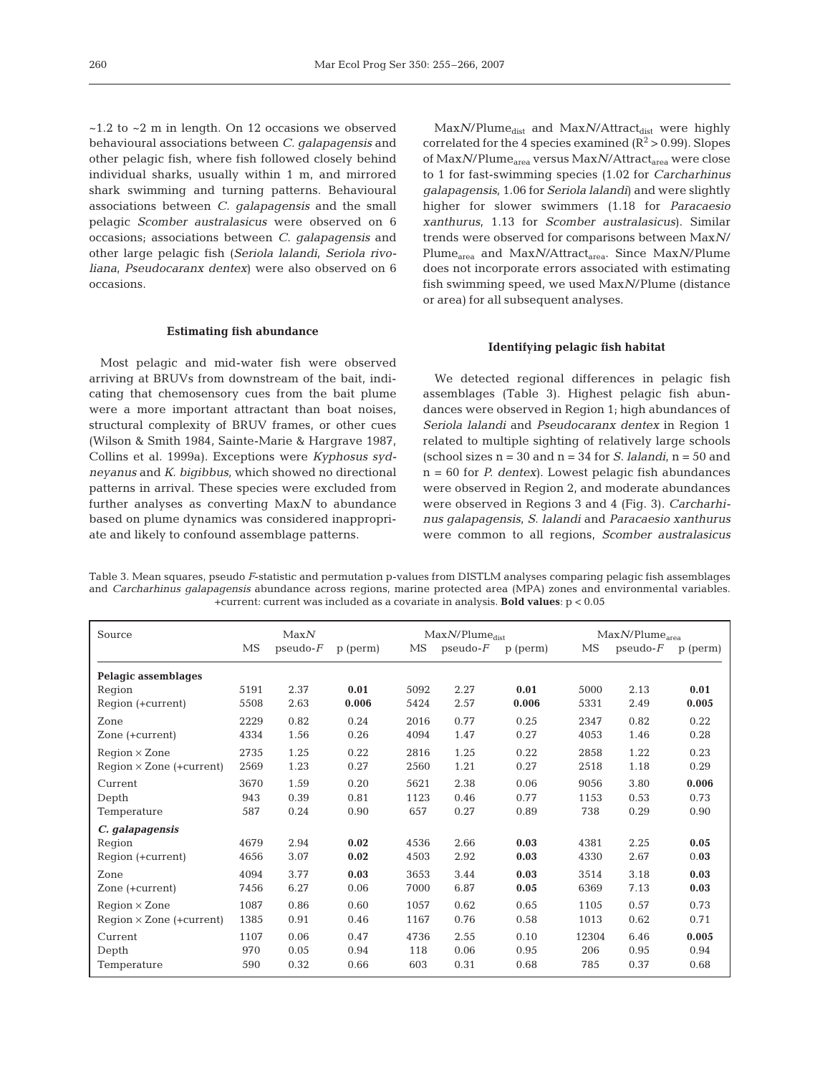$\sim$ 1.2 to  $\sim$ 2 m in length. On 12 occasions we observed behavioural associations between *C. galapagensis* and other pelagic fish, where fish followed closely behind individual sharks, usually within 1 m, and mirrored shark swimming and turning patterns. Behavioural associations between *C. galapagensis* and the small pelagic *Scomber australasicus* were observed on 6 occasions; associations between *C. galapagensis* and other large pelagic fish (*Seriola lalandi*, *Seriola rivoliana*, *Pseudocaranx dentex*) were also observed on 6 occasions.

#### **Estimating fish abundance**

Most pelagic and mid-water fish were observed arriving at BRUVs from downstream of the bait, indicating that chemosensory cues from the bait plume were a more important attractant than boat noises, structural complexity of BRUV frames, or other cues (Wilson & Smith 1984, Sainte-Marie & Hargrave 1987, Collins et al. 1999a). Exceptions were *Kyphosus sydneyanus* and *K. bigibbus*, which showed no directional patterns in arrival. These species were excluded from further analyses as converting Max*N* to abundance based on plume dynamics was considered inappropriate and likely to confound assemblage patterns.

Max*N*/Plume<sub>dist</sub> and Max*N*/Attract<sub>dist</sub> were highly correlated for the 4 species examined  $(R^2 > 0.99)$ . Slopes of Max*N*/Plume<sub>area</sub> versus Max*N*/Attract<sub>area</sub> were close to 1 for fast-swimming species (1.02 for *Carcharhinus galapagensis*, 1.06 for *Seriola lalandi*) and were slightly higher for slower swimmers (1.18 for *Paracaesio xanthurus*, 1.13 for *Scomber australasicus*). Similar trends were observed for comparisons between Max*N*/ Plume<sub>area</sub> and Max*N*/Attract<sub>area</sub>. Since Max*N*/Plume does not incorporate errors associated with estimating fish swimming speed, we used Max*N*/Plume (distance or area) for all subsequent analyses.

#### **Identifying pelagic fish habitat**

We detected regional differences in pelagic fish assemblages (Table 3). Highest pelagic fish abundances were observed in Region 1; high abundances of *Seriola lalandi* and *Pseudocaranx dentex* in Region 1 related to multiple sighting of relatively large schools (school sizes  $n = 30$  and  $n = 34$  for *S. lalandi*,  $n = 50$  and n = 60 for *P. dentex*). Lowest pelagic fish abundances were observed in Region 2, and moderate abundances were observed in Regions 3 and 4 (Fig. 3). *Carcharhinus galapagensis*, *S. lalandi* and *Paracaesio xanthurus* were common to all regions, *Scomber australasicus*

Table 3. Mean squares, pseudo *F*-statistic and permutation p-values from DISTLM analyses comparing pelagic fish assemblages and *Carcharhinus galapagensis* abundance across regions, marine protected area (MPA) zones and environmental variables. +current: current was included as a covariate in analysis. **Bold values**: p < 0.05

| Source                          |      | MaxN<br>$MaxN/Plume_{dist}$ |          |      | MaxN/Plume <sub>area</sub> |          |           |            |          |
|---------------------------------|------|-----------------------------|----------|------|----------------------------|----------|-----------|------------|----------|
|                                 | MS   | $pseudo-F$                  | p (perm) | MS   | $pseudo-F$                 | p (perm) | <b>MS</b> | $pseudo-F$ | p (perm) |
| Pelagic assemblages             |      |                             |          |      |                            |          |           |            |          |
| Region                          | 5191 | 2.37                        | 0.01     | 5092 | 2.27                       | 0.01     | 5000      | 2.13       | 0.01     |
| Region (+current)               | 5508 | 2.63                        | 0.006    | 5424 | 2.57                       | 0.006    | 5331      | 2.49       | 0.005    |
| Zone                            | 2229 | 0.82                        | 0.24     | 2016 | 0.77                       | 0.25     | 2347      | 0.82       | 0.22     |
| Zone (+current)                 | 4334 | 1.56                        | 0.26     | 4094 | 1.47                       | 0.27     | 4053      | 1.46       | 0.28     |
| $Region \times Zone$            | 2735 | 1.25                        | 0.22     | 2816 | 1.25                       | 0.22     | 2858      | 1.22       | 0.23     |
| $Region \times Zone (+current)$ | 2569 | 1.23                        | 0.27     | 2560 | 1.21                       | 0.27     | 2518      | 1.18       | 0.29     |
| Current                         | 3670 | 1.59                        | 0.20     | 5621 | 2.38                       | 0.06     | 9056      | 3.80       | 0.006    |
| Depth                           | 943  | 0.39                        | 0.81     | 1123 | 0.46                       | 0.77     | 1153      | 0.53       | 0.73     |
| Temperature                     | 587  | 0.24                        | 0.90     | 657  | 0.27                       | 0.89     | 738       | 0.29       | 0.90     |
| C. galapagensis                 |      |                             |          |      |                            |          |           |            |          |
| Region                          | 4679 | 2.94                        | 0.02     | 4536 | 2.66                       | 0.03     | 4381      | 2.25       | 0.05     |
| Region (+current)               | 4656 | 3.07                        | 0.02     | 4503 | 2.92                       | 0.03     | 4330      | 2.67       | 0.03     |
| Zone                            | 4094 | 3.77                        | 0.03     | 3653 | 3.44                       | 0.03     | 3514      | 3.18       | 0.03     |
| Zone (+current)                 | 7456 | 6.27                        | 0.06     | 7000 | 6.87                       | 0.05     | 6369      | 7.13       | 0.03     |
| $Region \times Zone$            | 1087 | 0.86                        | 0.60     | 1057 | 0.62                       | 0.65     | 1105      | 0.57       | 0.73     |
| $Region \times Zone$ (+current) | 1385 | 0.91                        | 0.46     | 1167 | 0.76                       | 0.58     | 1013      | 0.62       | 0.71     |
| Current                         | 1107 | 0.06                        | 0.47     | 4736 | 2.55                       | 0.10     | 12304     | 6.46       | 0.005    |
| Depth                           | 970  | 0.05                        | 0.94     | 118  | 0.06                       | 0.95     | 206       | 0.95       | 0.94     |
| Temperature                     | 590  | 0.32                        | 0.66     | 603  | 0.31                       | 0.68     | 785       | 0.37       | 0.68     |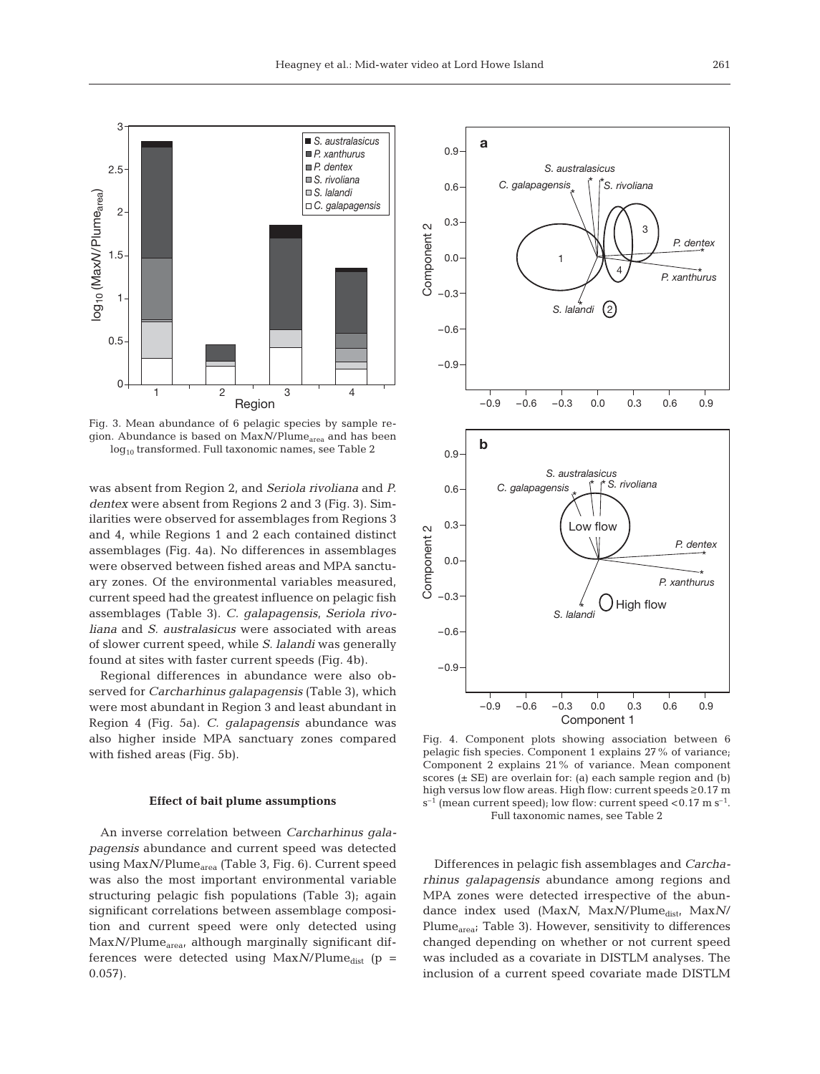

Fig. 3. Mean abundance of 6 pelagic species by sample region. Abundance is based on Max<sub>N</sub>/Plume<sub>area</sub> and has been  $log_{10}$  transformed. Full taxonomic names, see Table 2

was absent from Region 2, and *Seriola rivoliana* and *P. dentex* were absent from Regions 2 and 3 (Fig. 3). Similarities were observed for assemblages from Regions 3 and 4, while Regions 1 and 2 each contained distinct assemblages (Fig. 4a). No differences in assemblages were observed between fished areas and MPA sanctuary zones. Of the environmental variables measured, current speed had the greatest influence on pelagic fish assemblages (Table 3). *C. galapagensis*, *Seriola rivoliana* and *S. australasicus* were associated with areas of slower current speed, while *S. lalandi* was generally found at sites with faster current speeds (Fig. 4b).

Regional differences in abundance were also observed for *Carcharhinus galapagensis* (Table 3), which were most abundant in Region 3 and least abundant in Region 4 (Fig. 5a). *C. galapagensis* abundance was also higher inside MPA sanctuary zones compared with fished areas (Fig. 5b).

#### **Effect of bait plume assumptions**

An inverse correlation between *Carcharhinus galapagensis* abundance and current speed was detected using Max*N*/Plume<sub>area</sub> (Table 3, Fig. 6). Current speed was also the most important environmental variable structuring pelagic fish populations (Table 3); again significant correlations between assemblage composition and current speed were only detected using Max*N*/Plume<sub>area</sub>, although marginally significant differences were detected using  $MaxN/Plume_{dist}$  (p = 0.057).



Fig. 4. Component plots showing association between 6 pelagic fish species. Component 1 explains 27% of variance; Component 2 explains 21% of variance. Mean component scores  $(\pm \text{ SE})$  are overlain for: (a) each sample region and (b) high versus low flow areas. High flow: current speeds ≥0.17 m  $s^{-1}$  (mean current speed); low flow: current speed <0.17 m  $s^{-1}$ . Full taxonomic names, see Table 2

Differences in pelagic fish assemblages and *Carcharhinus galapagensis* abundance among regions and MPA zones were detected irrespective of the abundance index used (MaxN, MaxN/Plume<sub>dist</sub>, MaxN/ Plume<sub>area</sub>; Table 3). However, sensitivity to differences changed depending on whether or not current speed was included as a covariate in DISTLM analyses. The inclusion of a current speed covariate made DISTLM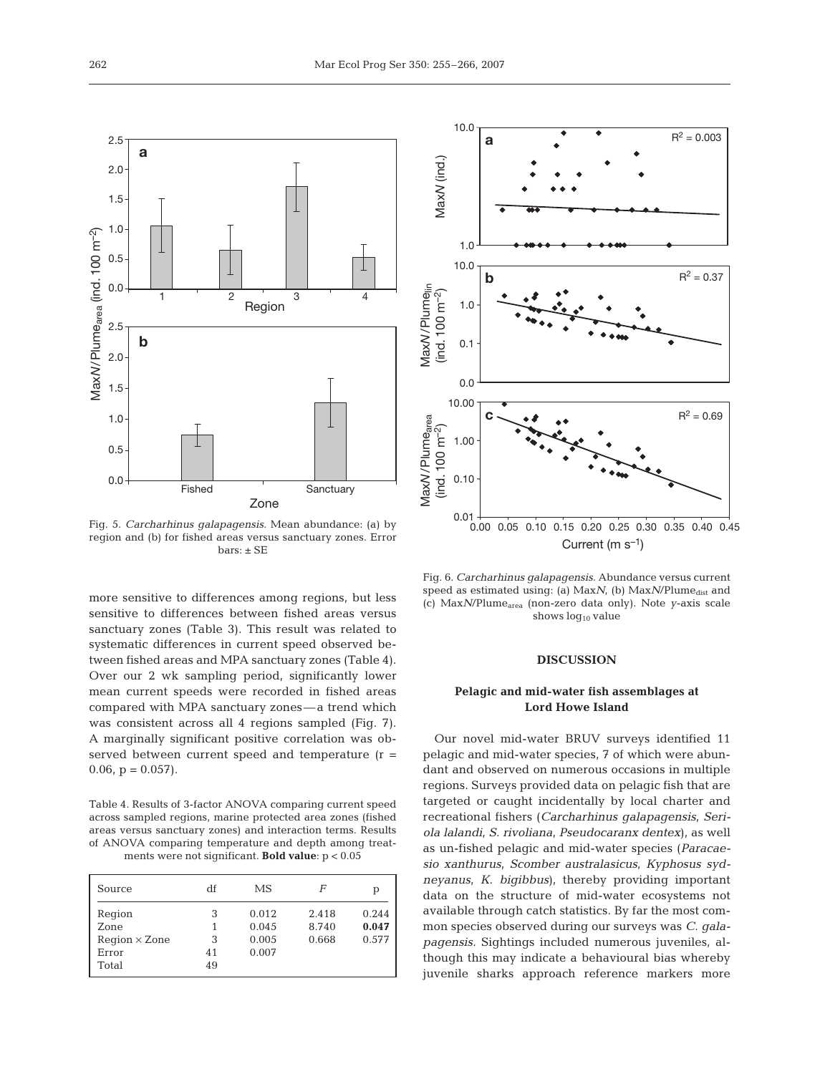

Fig. 5. *Carcharhinus galapagensis.* Mean abundance: (a) by region and (b) for fished areas versus sanctuary zones. Error  $bars: ± SE$ 

more sensitive to differences among regions, but less sensitive to differences between fished areas versus sanctuary zones (Table 3). This result was related to systematic differences in current speed observed between fished areas and MPA sanctuary zones (Table 4). Over our 2 wk sampling period, significantly lower mean current speeds were recorded in fished areas compared with MPA sanctuary zones—a trend which was consistent across all 4 regions sampled (Fig. 7). A marginally significant positive correlation was observed between current speed and temperature  $(r =$  $0.06$ ,  $p = 0.057$ ).

Table 4. Results of 3-factor ANOVA comparing current speed across sampled regions, marine protected area zones (fished areas versus sanctuary zones) and interaction terms. Results of ANOVA comparing temperature and depth among treatments were not significant. **Bold value**: p < 0.05

| Source                                                   | df                      | МS                               | F                       | р                       |
|----------------------------------------------------------|-------------------------|----------------------------------|-------------------------|-------------------------|
| Region<br>Zone<br>$Region \times Zone$<br>Error<br>Total | 3<br>1<br>3<br>41<br>49 | 0.012<br>0.045<br>0.005<br>0.007 | 2.418<br>8.740<br>0.668 | 0.244<br>0.047<br>0.577 |



Fig. 6. *Carcharhinus galapagensis.* Abundance versus current speed as estimated using: (a) MaxN, (b) MaxN/Plume<sub>dist</sub> and (c) Max*N*/Plumearea (non-zero data only). Note *y*-axis scale shows  $log_{10}$  value

## **DISCUSSION**

# **Pelagic and mid-water fish assemblages at Lord Howe Island**

Our novel mid-water BRUV surveys identified 11 pelagic and mid-water species, 7 of which were abundant and observed on numerous occasions in multiple regions. Surveys provided data on pelagic fish that are targeted or caught incidentally by local charter and recreational fishers (*Carcharhinus galapagensis*, *Seriola lalandi*, *S. rivoliana*, *Pseudocaranx dentex*), as well as un-fished pelagic and mid-water species (*Paracaesio xanthurus*, *Scomber australasicus*, *Kyphosus sydneyanus*, *K. bigibbus*), thereby providing important data on the structure of mid-water ecosystems not available through catch statistics. By far the most common species observed during our surveys was *C. galapagensis.* Sightings included numerous juveniles, although this may indicate a behavioural bias whereby juvenile sharks approach reference markers more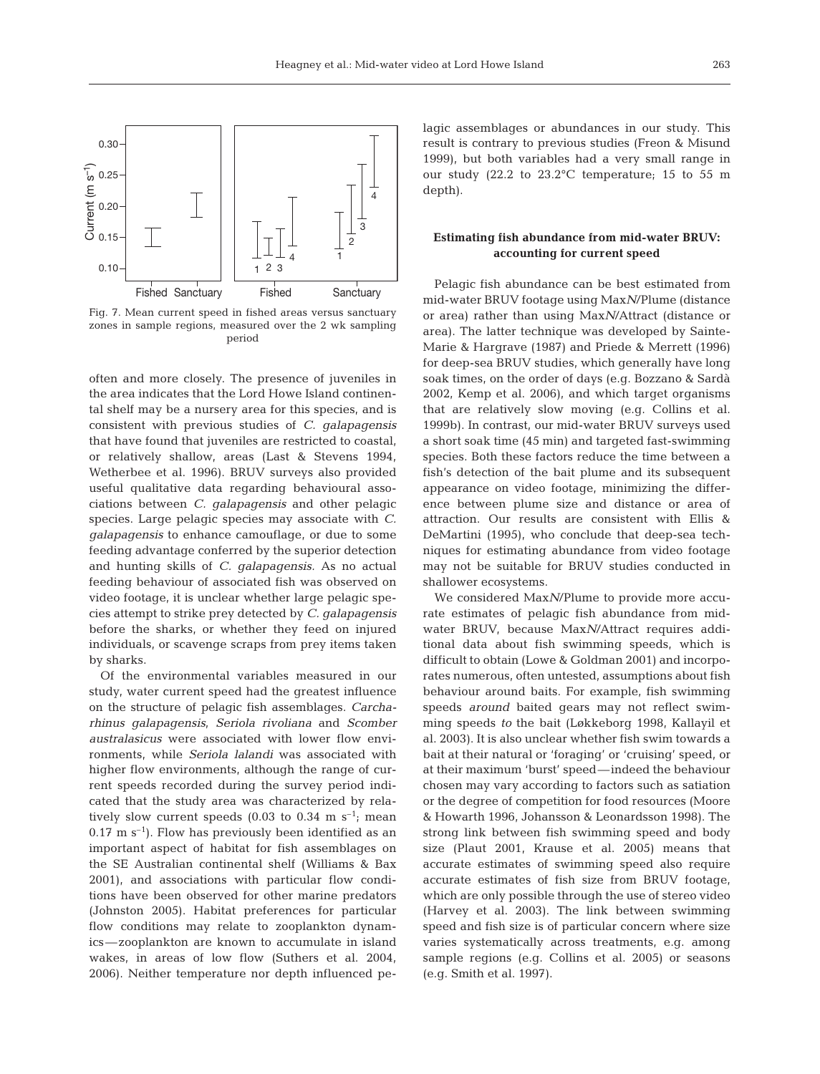

Fig. 7. Mean current speed in fished areas versus sanctuary zones in sample regions, measured over the 2 wk sampling period

often and more closely. The presence of juveniles in the area indicates that the Lord Howe Island continental shelf may be a nursery area for this species, and is consistent with previous studies of *C. galapagensis* that have found that juveniles are restricted to coastal, or relatively shallow, areas (Last & Stevens 1994, Wetherbee et al. 1996). BRUV surveys also provided useful qualitative data regarding behavioural associations between *C. galapagensis* and other pelagic species. Large pelagic species may associate with *C. galapagensis* to enhance camouflage, or due to some feeding advantage conferred by the superior detection and hunting skills of *C. galapagensis.* As no actual feeding behaviour of associated fish was observed on video footage, it is unclear whether large pelagic species attempt to strike prey detected by *C. galapagensis* before the sharks, or whether they feed on injured individuals, or scavenge scraps from prey items taken by sharks.

Of the environmental variables measured in our study, water current speed had the greatest influence on the structure of pelagic fish assemblages. *Carcharhinus galapagensis*, *Seriola rivoliana* and *Scomber australasicus* were associated with lower flow environments, while *Seriola lalandi* was associated with higher flow environments, although the range of current speeds recorded during the survey period indicated that the study area was characterized by relatively slow current speeds (0.03 to 0.34 m  $s^{-1}$ ; mean  $0.17 \text{ m s}^{-1}$ ). Flow has previously been identified as an important aspect of habitat for fish assemblages on the SE Australian continental shelf (Williams & Bax 2001), and associations with particular flow conditions have been observed for other marine predators (Johnston 2005). Habitat preferences for particular flow conditions may relate to zooplankton dynamics—zooplankton are known to accumulate in island wakes, in areas of low flow (Suthers et al. 2004, 2006). Neither temperature nor depth influenced pelagic assemblages or abundances in our study. This result is contrary to previous studies (Freon & Misund 1999), but both variables had a very small range in our study (22.2 to 23.2°C temperature; 15 to 55 m depth).

# **Estimating fish abundance from mid-water BRUV: accounting for current speed**

Pelagic fish abundance can be best estimated from mid-water BRUV footage using Max*N*/Plume (distance or area) rather than using Max*N*/Attract (distance or area). The latter technique was developed by Sainte-Marie & Hargrave (1987) and Priede & Merrett (1996) for deep-sea BRUV studies, which generally have long soak times, on the order of days (e.g. Bozzano & Sardà 2002, Kemp et al. 2006), and which target organisms that are relatively slow moving (e.g. Collins et al. 1999b). In contrast, our mid-water BRUV surveys used a short soak time (45 min) and targeted fast-swimming species. Both these factors reduce the time between a fish's detection of the bait plume and its subsequent appearance on video footage, minimizing the difference between plume size and distance or area of attraction. Our results are consistent with Ellis & DeMartini (1995), who conclude that deep-sea techniques for estimating abundance from video footage may not be suitable for BRUV studies conducted in shallower ecosystems.

We considered Max*N*/Plume to provide more accurate estimates of pelagic fish abundance from midwater BRUV, because Max*N*/Attract requires additional data about fish swimming speeds, which is difficult to obtain (Lowe & Goldman 2001) and incorporates numerous, often untested, assumptions about fish behaviour around baits. For example, fish swimming speeds *around* baited gears may not reflect swimming speeds *to* the bait (Løkkeborg 1998, Kallayil et al. 2003). It is also unclear whether fish swim towards a bait at their natural or 'foraging' or 'cruising' speed, or at their maximum 'burst' speed—indeed the behaviour chosen may vary according to factors such as satiation or the degree of competition for food resources (Moore & Howarth 1996, Johansson & Leonardsson 1998). The strong link between fish swimming speed and body size (Plaut 2001, Krause et al. 2005) means that accurate estimates of swimming speed also require accurate estimates of fish size from BRUV footage, which are only possible through the use of stereo video (Harvey et al. 2003). The link between swimming speed and fish size is of particular concern where size varies systematically across treatments, e.g. among sample regions (e.g. Collins et al. 2005) or seasons (e.g. Smith et al. 1997).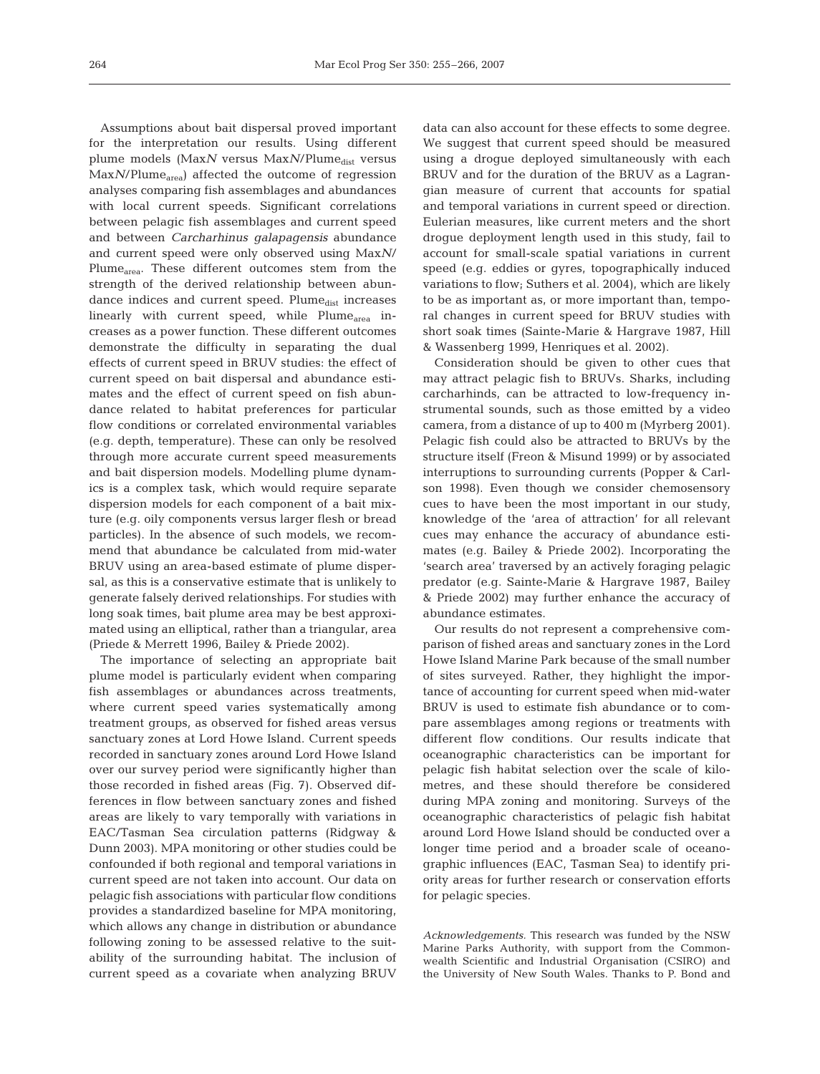Assumptions about bait dispersal proved important for the interpretation our results. Using different plume models (Max*N* versus Max*N*/Plume<sub>dist</sub> versus Max*N*/Plume<sub>area</sub>) affected the outcome of regression analyses comparing fish assemblages and abundances with local current speeds. Significant correlations between pelagic fish assemblages and current speed and between *Carcharhinus galapagensis* abundance and current speed were only observed using Max*N*/ Plume<sub>area</sub>. These different outcomes stem from the strength of the derived relationship between abundance indices and current speed.  $Plume_{dist}$  increases linearly with current speed, while Plume<sub>area</sub> increases as a power function. These different outcomes demonstrate the difficulty in separating the dual effects of current speed in BRUV studies: the effect of current speed on bait dispersal and abundance estimates and the effect of current speed on fish abundance related to habitat preferences for particular flow conditions or correlated environmental variables (e.g. depth, temperature). These can only be resolved through more accurate current speed measurements and bait dispersion models. Modelling plume dynamics is a complex task, which would require separate dispersion models for each component of a bait mixture (e.g. oily components versus larger flesh or bread particles). In the absence of such models, we recommend that abundance be calculated from mid-water BRUV using an area-based estimate of plume dispersal, as this is a conservative estimate that is unlikely to generate falsely derived relationships. For studies with long soak times, bait plume area may be best approximated using an elliptical, rather than a triangular, area (Priede & Merrett 1996, Bailey & Priede 2002).

The importance of selecting an appropriate bait plume model is particularly evident when comparing fish assemblages or abundances across treatments, where current speed varies systematically among treatment groups, as observed for fished areas versus sanctuary zones at Lord Howe Island. Current speeds recorded in sanctuary zones around Lord Howe Island over our survey period were significantly higher than those recorded in fished areas (Fig. 7). Observed differences in flow between sanctuary zones and fished areas are likely to vary temporally with variations in EAC/Tasman Sea circulation patterns (Ridgway & Dunn 2003). MPA monitoring or other studies could be confounded if both regional and temporal variations in current speed are not taken into account. Our data on pelagic fish associations with particular flow conditions provides a standardized baseline for MPA monitoring, which allows any change in distribution or abundance following zoning to be assessed relative to the suitability of the surrounding habitat. The inclusion of current speed as a covariate when analyzing BRUV data can also account for these effects to some degree. We suggest that current speed should be measured using a drogue deployed simultaneously with each BRUV and for the duration of the BRUV as a Lagrangian measure of current that accounts for spatial and temporal variations in current speed or direction. Eulerian measures, like current meters and the short drogue deployment length used in this study, fail to account for small-scale spatial variations in current speed (e.g. eddies or gyres, topographically induced variations to flow; Suthers et al. 2004), which are likely to be as important as, or more important than, temporal changes in current speed for BRUV studies with short soak times (Sainte-Marie & Hargrave 1987, Hill & Wassenberg 1999, Henriques et al. 2002).

Consideration should be given to other cues that may attract pelagic fish to BRUVs. Sharks, including carcharhinds, can be attracted to low-frequency instrumental sounds, such as those emitted by a video camera, from a distance of up to 400 m (Myrberg 2001). Pelagic fish could also be attracted to BRUVs by the structure itself (Freon & Misund 1999) or by associated interruptions to surrounding currents (Popper & Carlson 1998). Even though we consider chemosensory cues to have been the most important in our study, knowledge of the 'area of attraction' for all relevant cues may enhance the accuracy of abundance estimates (e.g. Bailey & Priede 2002). Incorporating the 'search area' traversed by an actively foraging pelagic predator (e.g. Sainte-Marie & Hargrave 1987, Bailey & Priede 2002) may further enhance the accuracy of abundance estimates.

Our results do not represent a comprehensive comparison of fished areas and sanctuary zones in the Lord Howe Island Marine Park because of the small number of sites surveyed. Rather, they highlight the importance of accounting for current speed when mid-water BRUV is used to estimate fish abundance or to compare assemblages among regions or treatments with different flow conditions. Our results indicate that oceanographic characteristics can be important for pelagic fish habitat selection over the scale of kilometres, and these should therefore be considered during MPA zoning and monitoring. Surveys of the oceanographic characteristics of pelagic fish habitat around Lord Howe Island should be conducted over a longer time period and a broader scale of oceanographic influences (EAC, Tasman Sea) to identify priority areas for further research or conservation efforts for pelagic species.

*Acknowledgements.* This research was funded by the NSW Marine Parks Authority, with support from the Commonwealth Scientific and Industrial Organisation (CSIRO) and the University of New South Wales. Thanks to P. Bond and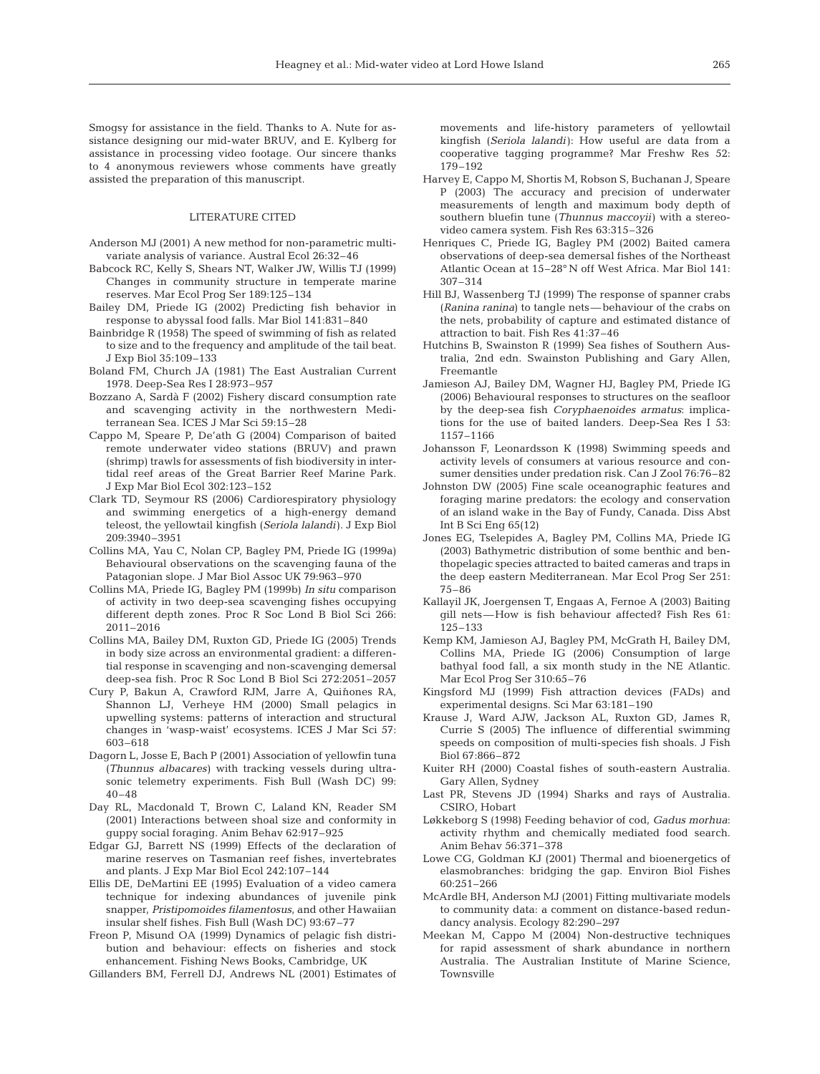Smogsy for assistance in the field. Thanks to A. Nute for assistance designing our mid-water BRUV, and E. Kylberg for assistance in processing video footage. Our sincere thanks to 4 anonymous reviewers whose comments have greatly assisted the preparation of this manuscript.

#### LITERATURE CITED

- Anderson MJ (2001) A new method for non-parametric multivariate analysis of variance. Austral Ecol 26:32–46
- Babcock RC, Kelly S, Shears NT, Walker JW, Willis TJ (1999) Changes in community structure in temperate marine reserves. Mar Ecol Prog Ser 189:125–134
- Bailey DM, Priede IG (2002) Predicting fish behavior in response to abyssal food falls. Mar Biol 141:831–840
- Bainbridge R (1958) The speed of swimming of fish as related to size and to the frequency and amplitude of the tail beat. J Exp Biol 35:109–133
- Boland FM, Church JA (1981) The East Australian Current 1978. Deep-Sea Res I 28:973–957
- Bozzano A, Sardà F (2002) Fishery discard consumption rate and scavenging activity in the northwestern Mediterranean Sea. ICES J Mar Sci 59:15–28
- Cappo M, Speare P, De'ath G (2004) Comparison of baited remote underwater video stations (BRUV) and prawn (shrimp) trawls for assessments of fish biodiversity in intertidal reef areas of the Great Barrier Reef Marine Park. J Exp Mar Biol Ecol 302:123–152
- Clark TD, Seymour RS (2006) Cardiorespiratory physiology and swimming energetics of a high-energy demand teleost, the yellowtail kingfish (*Seriola lalandi*). J Exp Biol 209:3940–3951
- Collins MA, Yau C, Nolan CP, Bagley PM, Priede IG (1999a) Behavioural observations on the scavenging fauna of the Patagonian slope. J Mar Biol Assoc UK 79:963–970
- Collins MA, Priede IG, Bagley PM (1999b) *In situ* comparison of activity in two deep-sea scavenging fishes occupying different depth zones. Proc R Soc Lond B Biol Sci 266: 2011–2016
- Collins MA, Bailey DM, Ruxton GD, Priede IG (2005) Trends in body size across an environmental gradient: a differential response in scavenging and non-scavenging demersal deep-sea fish. Proc R Soc Lond B Biol Sci 272:2051–2057
- Cury P, Bakun A, Crawford RJM, Jarre A, Quiňones RA, Shannon LJ, Verheye HM (2000) Small pelagics in upwelling systems: patterns of interaction and structural changes in 'wasp-waist' ecosystems. ICES J Mar Sci 57: 603–618
- Dagorn L, Josse E, Bach P (2001) Association of yellowfin tuna (*Thunnus albacares*) with tracking vessels during ultrasonic telemetry experiments. Fish Bull (Wash DC) 99: 40–48
- Day RL, Macdonald T, Brown C, Laland KN, Reader SM (2001) Interactions between shoal size and conformity in guppy social foraging. Anim Behav 62:917–925
- Edgar GJ, Barrett NS (1999) Effects of the declaration of marine reserves on Tasmanian reef fishes, invertebrates and plants. J Exp Mar Biol Ecol 242:107–144
- Ellis DE, DeMartini EE (1995) Evaluation of a video camera technique for indexing abundances of juvenile pink snapper, *Pristipomoides filamentosus*, and other Hawaiian insular shelf fishes. Fish Bull (Wash DC) 93:67–77
- Freon P, Misund OA (1999) Dynamics of pelagic fish distribution and behaviour: effects on fisheries and stock enhancement. Fishing News Books, Cambridge, UK

Gillanders BM, Ferrell DJ, Andrews NL (2001) Estimates of

movements and life-history parameters of yellowtail kingfish (*Seriola lalandi*): How useful are data from a cooperative tagging programme? Mar Freshw Res 52: 179–192

- Harvey E, Cappo M, Shortis M, Robson S, Buchanan J, Speare P (2003) The accuracy and precision of underwater measurements of length and maximum body depth of southern bluefin tune (*Thunnus maccoyii*) with a stereovideo camera system. Fish Res 63:315–326
- Henriques C, Priede IG, Bagley PM (2002) Baited camera observations of deep-sea demersal fishes of the Northeast Atlantic Ocean at 15–28° N off West Africa. Mar Biol 141: 307–314
- Hill BJ, Wassenberg TJ (1999) The response of spanner crabs (*Ranina ranina*) to tangle nets—behaviour of the crabs on the nets, probability of capture and estimated distance of attraction to bait. Fish Res 41:37–46
- Hutchins B, Swainston R (1999) Sea fishes of Southern Australia, 2nd edn. Swainston Publishing and Gary Allen, Freemantle
- Jamieson AJ, Bailey DM, Wagner HJ, Bagley PM, Priede IG (2006) Behavioural responses to structures on the seafloor by the deep-sea fish *Coryphaenoides armatus*: implications for the use of baited landers. Deep-Sea Res I 53: 1157–1166
- Johansson F, Leonardsson K (1998) Swimming speeds and activity levels of consumers at various resource and consumer densities under predation risk. Can J Zool 76:76–82
- Johnston DW (2005) Fine scale oceanographic features and foraging marine predators: the ecology and conservation of an island wake in the Bay of Fundy, Canada. Diss Abst Int B Sci Eng 65(12)
- Jones EG, Tselepides A, Bagley PM, Collins MA, Priede IG (2003) Bathymetric distribution of some benthic and benthopelagic species attracted to baited cameras and traps in the deep eastern Mediterranean. Mar Ecol Prog Ser 251: 75–86
- Kallayil JK, Joergensen T, Engaas A, Fernoe A (2003) Baiting gill nets—How is fish behaviour affected? Fish Res 61: 125–133
- Kemp KM, Jamieson AJ, Bagley PM, McGrath H, Bailey DM, Collins MA, Priede IG (2006) Consumption of large bathyal food fall, a six month study in the NE Atlantic. Mar Ecol Prog Ser 310:65–76
- Kingsford MJ (1999) Fish attraction devices (FADs) and experimental designs. Sci Mar 63:181–190
- Krause J, Ward AJW, Jackson AL, Ruxton GD, James R, Currie S (2005) The influence of differential swimming speeds on composition of multi-species fish shoals. J Fish Biol 67:866–872
- Kuiter RH (2000) Coastal fishes of south-eastern Australia. Gary Allen, Sydney
- Last PR, Stevens JD (1994) Sharks and rays of Australia. CSIRO, Hobart
- Løkkeborg S (1998) Feeding behavior of cod, *Gadus morhua*: activity rhythm and chemically mediated food search. Anim Behav 56:371–378
- Lowe CG, Goldman KJ (2001) Thermal and bioenergetics of elasmobranches: bridging the gap. Environ Biol Fishes 60:251–266
- McArdle BH, Anderson MJ (2001) Fitting multivariate models to community data: a comment on distance-based redundancy analysis. Ecology 82:290–297
- Meekan M, Cappo M (2004) Non-destructive techniques for rapid assessment of shark abundance in northern Australia. The Australian Institute of Marine Science, Townsville